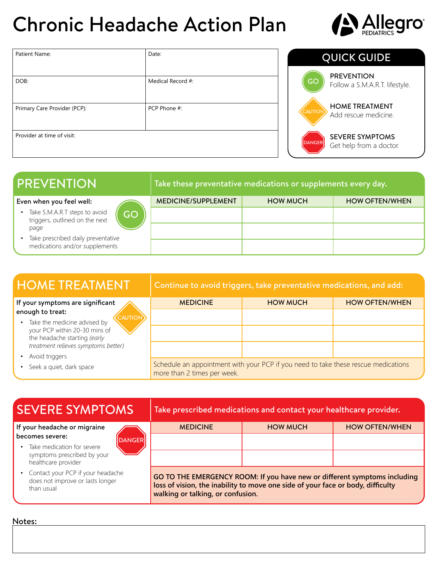# Chronic Headache Action Plan



| Patient Name:                | Date:             |  |  |
|------------------------------|-------------------|--|--|
|                              |                   |  |  |
| DOB:                         | Medical Record #: |  |  |
|                              |                   |  |  |
| Primary Care Provider (PCP): | PCP Phone #:      |  |  |
|                              |                   |  |  |
| Provider at time of visit:   |                   |  |  |
|                              |                   |  |  |

### QUICK GUIDE

**PREVENTION** Follow a S.M.A.R.T. lifestyle.

**CAUTION** HOME TREATMENT Add rescue medicine.

> SEVERE SYMPTOMS Get help from a doctor.

**DANGER** 

GO

| <b>PREVENTION</b>                                                    |    | Take these preventative medications or supplements every day. |                 |                       |
|----------------------------------------------------------------------|----|---------------------------------------------------------------|-----------------|-----------------------|
| Even when you feel well:                                             |    | <b>MEDICINE/SUPPLEMENT</b>                                    | <b>HOW MUCH</b> | <b>HOW OFTEN/WHEN</b> |
| Take S.M.A.R.T steps to avoid<br>triggers, outlined on the next      | GO |                                                               |                 |                       |
| page                                                                 |    |                                                               |                 |                       |
| Take prescribed daily preventative<br>medications and/or supplements |    |                                                               |                 |                       |

| <b>HOME TREATMENT</b>                                                                                                                  | Continue to avoid triggers, take preventative medications, and add:                                               |                 |                       |  |
|----------------------------------------------------------------------------------------------------------------------------------------|-------------------------------------------------------------------------------------------------------------------|-----------------|-----------------------|--|
| If your symptoms are significant                                                                                                       | <b>MEDICINE</b>                                                                                                   | <b>HOW MUCH</b> | <b>HOW OFTEN/WHEN</b> |  |
| enough to treat:<br><b>CAUTION</b>                                                                                                     |                                                                                                                   |                 |                       |  |
| • Take the medicine advised by<br>your PCP within 20-30 mins of<br>the headache starting (early<br>treatment relieves symptoms better) |                                                                                                                   |                 |                       |  |
| Avoid triggers                                                                                                                         |                                                                                                                   |                 |                       |  |
| Seek a quiet, dark space                                                                                                               | Schedule an appointment with your PCP if you need to take these rescue medications<br>more than 2 times per week. |                 |                       |  |

| <b>SEVERE SYMPTOMS</b>                                                                | Take prescribed medications and contact your healthcare provider.                                                                                                                                 |                 |                       |  |
|---------------------------------------------------------------------------------------|---------------------------------------------------------------------------------------------------------------------------------------------------------------------------------------------------|-----------------|-----------------------|--|
| If your headache or migraine                                                          | <b>MEDICINE</b>                                                                                                                                                                                   | <b>HOW MUCH</b> | <b>HOW OFTEN/WHEN</b> |  |
| becomes severe:<br><b>DANGER</b>                                                      |                                                                                                                                                                                                   |                 |                       |  |
| Take medication for severe                                                            |                                                                                                                                                                                                   |                 |                       |  |
| symptoms prescribed by your<br>healthcare provider                                    |                                                                                                                                                                                                   |                 |                       |  |
| • Contact your PCP if your headache<br>does not improve or lasts longer<br>than usual | GO TO THE EMERGENCY ROOM: If you have new or different symptoms including<br>loss of vision, the inability to move one side of your face or body, difficulty<br>walking or talking, or confusion. |                 |                       |  |

#### Notes: